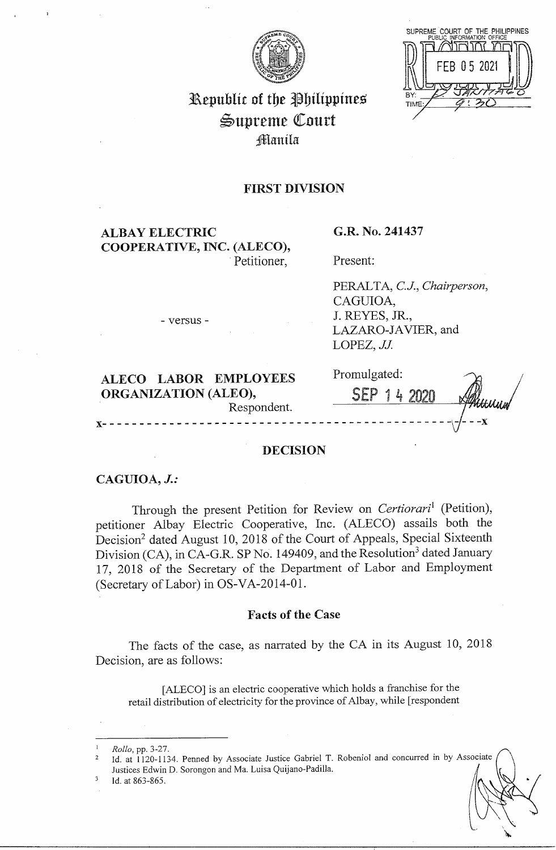

SUPREME COURT OF THE PHILIPPINES **BY** TIME

# Republic of the Philippines ~upreme QCourt ;fflanila

## **FIRST DIVISION**

**ALBAY ELECTRIC COOPERATIVE, INC. (ALECO),**  · Petitioner,

**G.R. No. 241437** 

Present:

PERALTA, *CJ., Chairperson,*  CAGUIOA, J. REYES, JR., LAZARO-JAVIER, and LOPEZ, *JJ.* 

**ALECO LABOR EMPLOYEES** 

- versus -

| ALECO LABOR EMPLOYEES<br><b>ORGANIZATION (ALEO),</b><br>Respondent. | Promulgated:<br>SEP 1 4 2020 | <del>YIMU</del> MM |
|---------------------------------------------------------------------|------------------------------|--------------------|
|                                                                     |                              |                    |

## **DECISION**

## **CAGUIOA,** *J.:*

Through the present Petition for Review on *Certiorari*<sup>1</sup> (Petition), petitioner Albay Electric Cooperative, Inc. (ALECO) assails both the Decision<sup>2</sup> dated August 10, 2018 of the Court of Appeals, Special Sixteenth Division (CA), in CA-G.R. SP No. 149409, and the Resolution<sup>3</sup> dated January 17, 2018 of the Secretary of the Department of Labor and Employment (Secretary of Labor) in OS-VA-2014-01.

## **Facts of the Case**

The facts of the case, as narrated by the CA in its August 10, 2018 Decision, are as follows:

[ ALECO] is an electric cooperative which holds a franchise for the retail distribution of electricity for the province of Albay, while [respondent

<sup>1</sup> *Rollo,* pp. 3-27.

<sup>&</sup>lt;sup>2</sup> Id. at 1120-1134. Penned by Associate Justice Gabriel T. Robeniol and concurred in by Associate Justices Edwin D. Sorongon and Ma. Luisa Quijano-Padilla.

Id. at 863-865.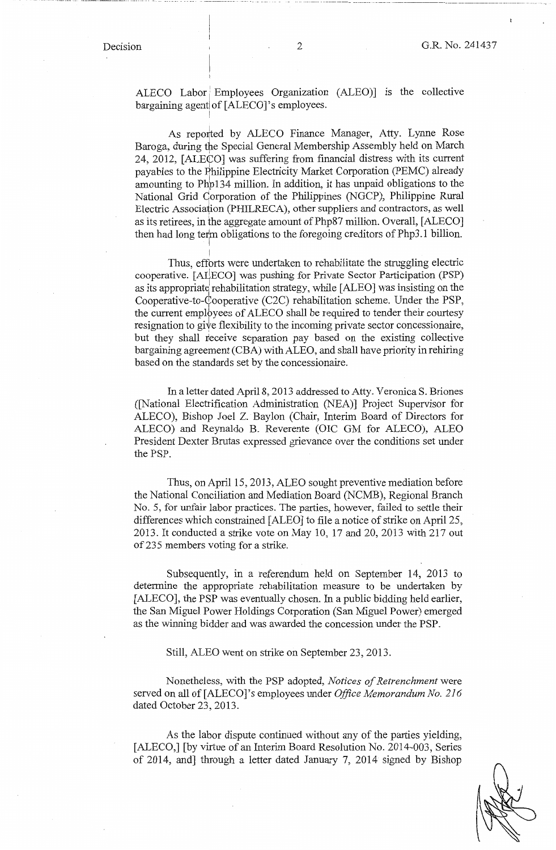ALECO Labor Employees Organization (ALEO) is the collective bargaining agent of [ALECO]'s employees.

I

I

As reported by ALECO Finance Manager, Atty. Lynne Rose Baroga, during the Special General Membership Assembly held on March 24, 2012, [ALE¢O] was suffering from financial distress with its current payables to the Rhilippine Electricity Market Corporation (PEMC) already amounting to Php134 million. In addition, it has unpaid obligations to the National Grid Qorporation of the Philippines (NGCP), Philippine Rural Electric Association (PHILRECA), other suppliers and contractors, as well as its retirees, in the aggregate amount of Php87 million. Overall, [ALECO] then had long term obligations to the foregoing creditors of Php3.1 billion. i

Thus, efforts were undertaken to rehabilitate the struggling electric cooperative. [AUECO] was pushing for Private Sector Participation (PSP) as its appropriate rehabilitation strategy, while [ALEO] was insisting on the Cooperative-to- $\dot{\mathcal{C}}$ ooperative (C2C) rehabilitation scheme. Under the PSP, the current employees of ALECO shall be required to tender their courtesy resignation to give flexibility to the incoming private sector concessionaire, but they shall receive separation pay based on the existing collective bargaining agreement (CBA) with ALEO, and shall have priority in rehiring based on the standards set by the concessionaire.

In a letter dated April 8, 2013 addressed to Atty. Veronica S. Briones ([National Electrification Administration (NEA)] Project Supervisor for ALECO), Bishop Joel Z. Baylon (Chair, Interim Board of Directors for ALECO) and Reynaldo B. Reverente (OIC GM for ALECO), ALEO President Dexter Brutas expressed grievance over the conditions set under the PSP.

Thus, on April 15, 2013, ALEO sought preventive mediation before the National Conciliation and Mediation Board (NCMB), Regional Branch No. 5, for unfair labor practices. The parties, however, failed to settle their differences which constrained [ ALEO] to file a notice of strike on April 25, 2013. It conducted a strike vote on May 10, 17 and 20, 2013 with 217 out of235 members voting for a strike.

Subsequently, in a referendum held on September 14, 2013 to determine the appropriate rehabilitation measure to be undertaken by [ALECO], the PSP was eventually chosen. In a public bidding held earlier, the San Miguel Power Holdings Corporation (San Miguel Power) emerged as the winning bidder and was awarded the concession under the PSP.

Still, ALEO went on strike on September 23, 2013.

Nonetheless, with the PSP adopted, *Notices of Retrenchment* were served on all of [ALECO]'s employees under *Office Memorandum No. 216*  dated October 23, 2013.

As the labor dispute continued without any of the parties yielding, [ALECO,] [by virtue of an Interim Board Resolution No. 2014-003, Series of 2014, and] through a letter dated January 7, 2014 signed by Bishop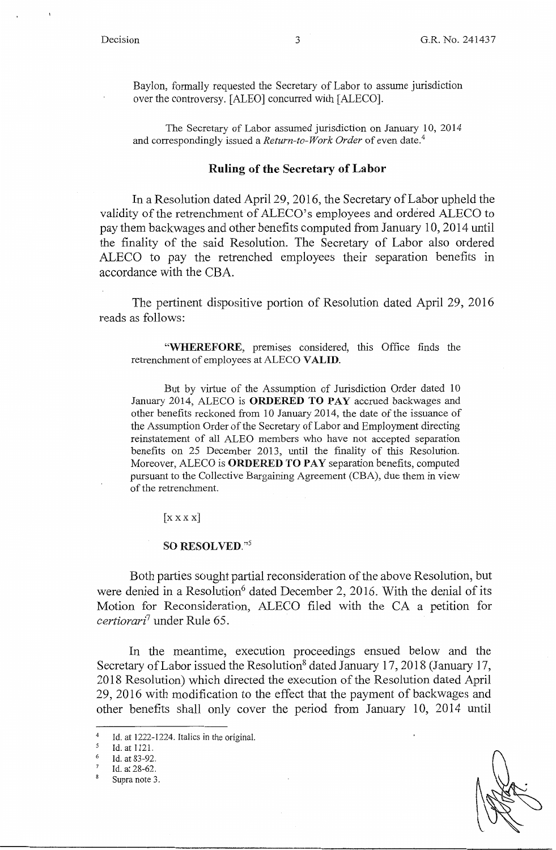Baylon, formally requested the Secretary of Labor to assume jurisdiction over the controversy. [ALEO] concurred with [ALECO].

The Secretary of Labor assumed jurisdiction on January 10, 2014 and correspondingly issued a *Return-to-Work Order* of even date.<sup>4</sup>

### **Ruling of the Secretary of Labor**

In a Resolution dated April 29, 2016, the Secretary of Labor upheld the validity of the retrenchment of ALECO's employees and ordered ALECO to pay them backwages and other benefits computed from January 10, 2014 until the finality of the said Resolution. The Secretary of Labor also ordered ALECO to pay the retrenched employees their separation benefits in accordance with the CBA.

The pertinent dispositive portion of Resolution dated April 29, 2016 reads as follows:

**"WHEREFORE,** premises considered, this Office finds the retrenchment of employees at ALECO **VALID.** 

But by virtue of the Assumption of Jurisdiction Order dated 10 January 2014, ALECO is **ORDERED TO PAY** accrued backwages and other benefits reckoned from 10 January 2014, the date of the issuance of the Assumption Order of the Secretary of Labor and Employment directing reinstatement of all ALEO members who have not accepted separation benefits on 25 December 2013, until the finality of this Resolution. Moreover, ALECO is **ORDERED TO PAY** separation benefits, computed pursuant to the Collective Bargaining Agreement (CBA), due them in view of the retrenchment.

 $[$  $X$   $X$   $X$  $]$ 

### **SO RESOLVED."<sup>5</sup>**

Both parties sought partial reconsideration of the above Resolution, but were denied in a Resolution<sup>6</sup> dated December 2, 2016. With the denial of its Motion for Reconsideration, ALECO filed with the CA a petition for *certiorari7* under Rule 65.

In the meantime, execution proceedings ensued below and the Secretary of Labor issued the Resolution<sup>8</sup> dated January 17, 2018 (January 17, 2018 Resolution) which directed the execution of the Resolution dated April 29, 2016 with modification to the effect that the payment of backwages and other benefits shall only cover the period from January 10, 2014 until

<sup>&</sup>lt;sup>4</sup> Id. at 1222-1224. Italics in the original.<br> $\frac{5}{1}$  Id. at 1121

 $\frac{5}{6}$  Id. at 1121.

Id. at 83-92.

 $\frac{7}{8}$  Id. at 28-62.

Supra note 3.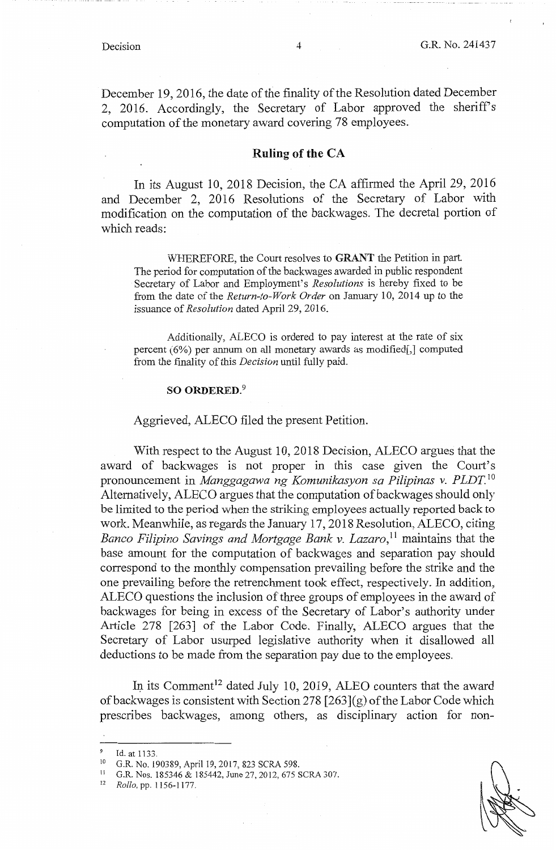December 19, 2016, the date of the finality of the Resolution dated December 2, 2016. Accordingly, the Secretary of Labor approved the sheriff's computation of the monetary award covering 78 employees.

## **Ruling of the CA**

In its August 10, 2018 Decision, the CA affirmed the April 29, 2016 and December 2, 2016 Resolutions of the Secretary of Labor with modification on the computation of the backwages. The decretal portion of which reads:

WHEREFORE, the Court resolves to **GRANT** the Petition in part. The period for computation of the backwages awarded in public respondent Secretary of Labor and Employment's *Resolutions* is hereby fixed to be from the date of the *Return-to-Work Order* on January 10, 2014 up to the issuance of *Resolution* dated April 29, 2016.

Additionally, ALECO is ordered to pay interest at the rate of six percent ( 6%) per annum on all monetary awards as modified[,] computed from the finality of this *Decision* until fully paid.

#### **SO ORDERED.<sup>9</sup>**

#### Aggrieved, ALECO filed the present Petition.

With respect to the August 10, 2018 Decision, ALECO argues that the award of backwages is not proper in this case given the Court's pronouncement in *Manggagawa ng Komunikasyon sa Pilipinas v. PLDT.*<sup>10</sup> Alternatively, ALECO argues that the computation of backwages should only be limited to the period when the striking employees actually reported back to work. Meanwhile, as regards the January 17, 2018 Resolution, ALECO, citing *Banco Filipino Savings and Mortgage Bank v. Lazaro,* 11 maintains that the base amount for the computation of backwages and separation pay should correspond to the monthly compensation prevailing before the strike and the one prevailing before the retrenchment took effect, respectively. In addition, ALECO questions the inclusion of three groups of employees in the award of backwages for being in excess of the Secretary of Labor's authority under Article 278 [263] of the Labor Code. Finally, ALECO argues that the Secretary of Labor usurped legislative authority when it disallowed all deductions to be made from the separation pay due to the employees.

In its Comment<sup>12</sup> dated July 10, 2019, ALEO counters that the award of backwages is consistent with Section 278  $[263](g)$  of the Labor Code which prescribes backwages, among others, as disciplinary action for non-

<sup>9</sup> Id. at 1133.<br><sup>10</sup> G.R. No. 190389, April 19, 2017, 823 SCRA 598.<br><sup>11</sup> G.R. Nos. 185346 & 185442, June 27, 2012, 675 SCRA 307.<br><sup>12</sup> *Rollo*, pp. 1156-1177.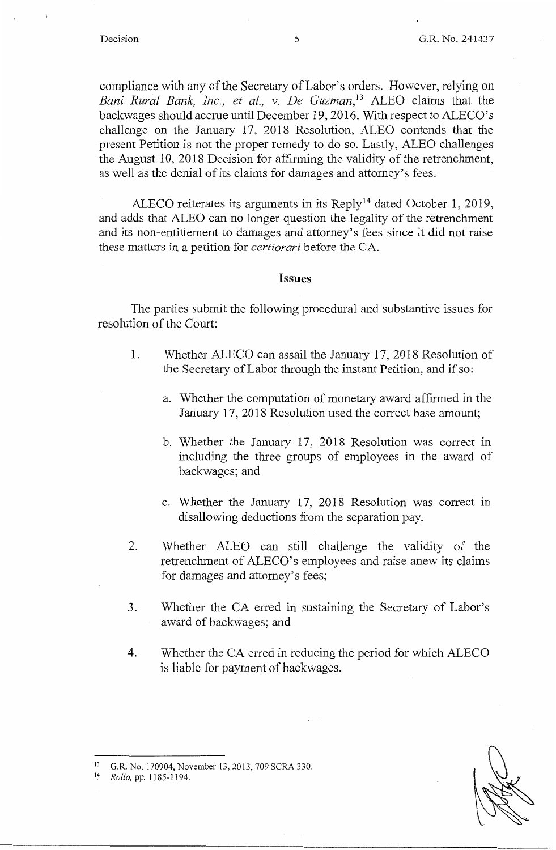compliance with any of the Secretary of Labor's orders. However, relying on Bani Rural Bank, Inc., et al., v. De Guzman,<sup>13</sup> ALEO claims that the backwages should accrue until December 19, 2016. With respect to ALECO's challenge on the January 17, 2018 Resolution, ALEO contends that the present Petition is not the proper remedy to do so. Lastly, ALEO challenges the August 10, 2018 Decision for affirming the validity of the retrenchment, as well as the denial of its claims for damages and attorney's fees.

ALECO reiterates its arguments in its Reply<sup>14</sup> dated October 1, 2019, and adds that ALEO can no longer question the legality of the retrenchment and its non-entitlement to damages and attorney's fees since it did not raise these matters in a petition for *certiorari* before the CA.

#### **Issues**

The parties submit the following procedural and substantive issues for resolution of the Court:

- 1. Whether ALECO can assail the January 17, 2018 Resolution of the Secretary of Labor through the instant Petition, and if so:
	- a. Whether the computation of monetary award affirmed in the January 17, 2018 Resolution used the correct base amount;
	- b. Whether the January 17, 2018 Resolution was correct in including the three groups of employees in the award of backwages; and
	- c. Whether the January 17, 2018 Resolution was correct in disallowing deductions from the separation pay.
- 2. Whether ALEO can still challenge the validity of the retrenchment of ALECO's employees and raise anew its claims for damages and attorney's fees;
- 3. Whether the CA erred in sustaining the Secretary of Labor's award of backwages; and
- 4. Whether the CA erred in reducing the period for which ALECO is liable for payment of backwages.



<sup>14</sup> *Rollo,* pp. I 185-1 194.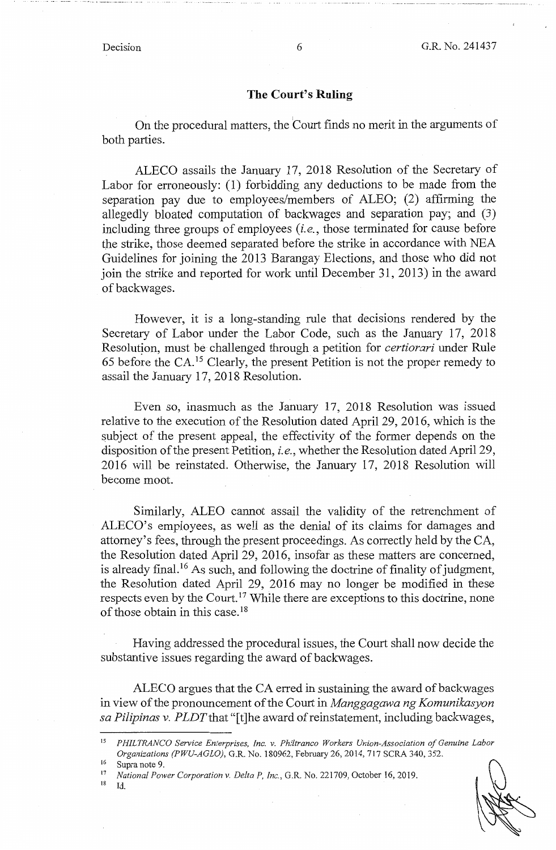#### **The Court's Ruling**

On the procedural matters, the Court finds no merit in the arguments of both parties.

ALECO assails the January 17, 2018 Resolution of the Secretary of Labor for erroneously: (1) forbidding any deductions to be made from the separation pay due to employees/members of ALEO; (2) affirming the allegedly bloated computation of backwages and separation pay; and (3) including three groups of employees *(i.e.,* those terminated for cause before the strike, those deemed separated before the strike in accordance with NEA Guidelines for joining the 2013 Barangay Elections, and those who did not join the strike and reported for work until December 31, 2013) in the award of backwages.

However, it is a long-standing rule that decisions rendered by the Secretary of Labor under the Labor Code, such as the January 17, 2018 Resolutjon, must be challenged through a petition for *certiorari* under Rule 65 before the CA. 15 Clearly, the present Petition is not the proper remedy to assail the January 17, 2018 Resolution.

Even so, inasmuch as the January 17, 2018 Resolution was issued relative to the execution of the Resolution dated April 29, 2016, which is the subject of the present appeal, the effectivity of the former depends on the disposition of the present Petition, *i.e.,* whether the Resolution dated April 29, 2016 will be reinstated. Otherwise, the January 17, 2018 Resolution will become moot.

Similarly, ALEO cannot assail the validity of the retrenchment of ALECO's employees, as well as the denial of its claims for damages and attorney's fees, through the present proceedings. As correctly held by the CA, the Resolution dated April 29, 2016, insofar as these matters are concerned, is already final. 16 As such, and following the doctrine of finality of judgment, the Resolution dated April 29, 2016 may no longer be modified in these respects even by the Court.<sup>17</sup> While there are exceptions to this doctrine, none of those obtain in this case.<sup>18</sup>

Having addressed the procedural issues, the Court shall now decide the substantive issues regarding the award of backwages.

ALECO argues that the CA erred in sustaining the award of backwages in view of the pronouncement of the Court in *Manggagawa ng Komunikasyon sa Pilipinas v. PLDT* that "[t]he award of reinstatement, including backwages,

 $^{16}$  Supra note 9.

 $^{18}$  Id.

<sup>15</sup>*PHILTRANCO Service Enterprises, Inc. v. Philtranco Workers Union-Association of Genuine Labor Organizations (PWU-AGLO),* G.R. No. 180962, February 26, 2014, 717 SCRA 340, 352.

<sup>17</sup>*National Power Corporation v. Delta P, Inc.,* G.R. No. 221709, October 16, 2019.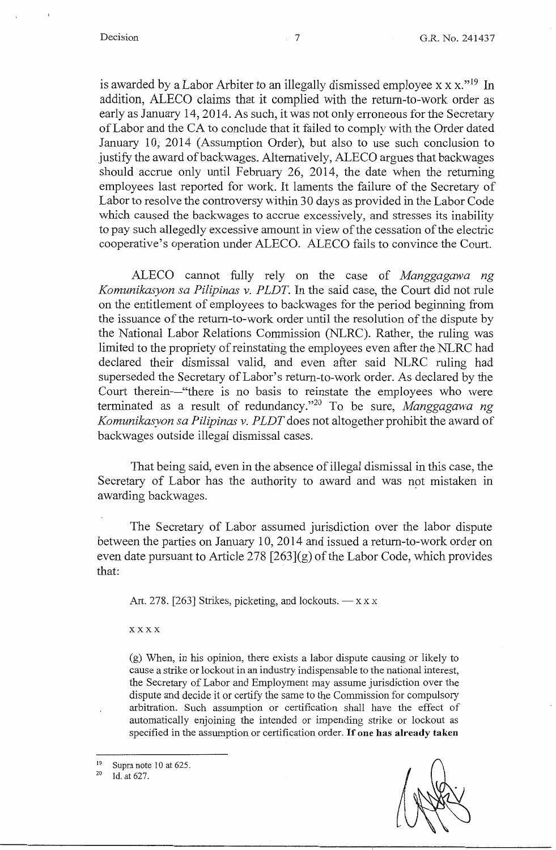is awarded by a Labor Arbiter to an illegally dismissed employee  $x x x."<sup>19</sup> In$ addition, ALECO claims that it complied with the return-to-work order as early as January 14, 2014. As such, it was not only erroneous for the Secretary of Labor and the CA to conclude that it failed to comply with the Order dated January 10; 2014 (Assumption Order), but also to use such conclusion to justify the award of backwages. Alternatively, ALECO argues that backwages should accrue only until February 26, 2014, the date when the returning employees last reported for work. It laments the failure of the Secretary of Labor to resolve the controversy within 30 days as provided in the Labor Code which caused the backwages to accrue excessively, and stresses its inability to pay such allegedly excessive amount in view of the cessation of the electric cooperative's operation under ALECO. ALECO fails to convince the Court.

ALECO cannot fully rely on the case of *Manggagawa ng Komunikasyon sa Pilipinas v. PLDT*. In the said case, the Court did not rule on the entitlement of employees to backwages for the period beginning from the issuance of the return-to-work order until the resolution of the dispute by the National Labor Relations Commission (NLRC). Rather, the ruling was limited to the propriety of reinstating the employees even after the NLRC had declared their dismissal valid, and even after said NLRC ruling had superseded the Secretary of Labor's return-to-work order. As declared by the Court therein—"there is no basis to reinstate the employees who were terminated as a result of redundancy."20 To be sure, *Manggagawa ng Komunikasyon sa Pilipinas v. PLDT* does not altogether prohibit the award of backwages outside illegal dismissal cases.

That being said, even in the absence of illegal dismissal in this case, the Secretary of Labor has the authority to award and was not mistaken in awarding backwages.

The Secretary of Labor assumed jurisdiction over the labor dispute between the parties on January 10, 2014 and issued a return-to-work order on even date pursuant to Article 278  $[263]$ (g) of the Labor Code, which provides that:

Art. 278. [263] Strikes, picketing, and lockouts.  $-x \times x$ 

xxxx

(g) When, in his opinion, there exists a labor dispute causing or likely to cause a strike or lockout in an industry indispensable to the national interest, the Secretary of Labor and Employment may assume jurisdiction over the dispute and decide it or certify the same to the Commission for compulsory arbitration. Such assumption or certification shall have the effect of automatically enjoining the intended or impending strike or lockout as specified in the assumption or certification order. If **one has already taken** 

<sup>19</sup> Supra note 10 at 625.<br><sup>20</sup> Id. at 627.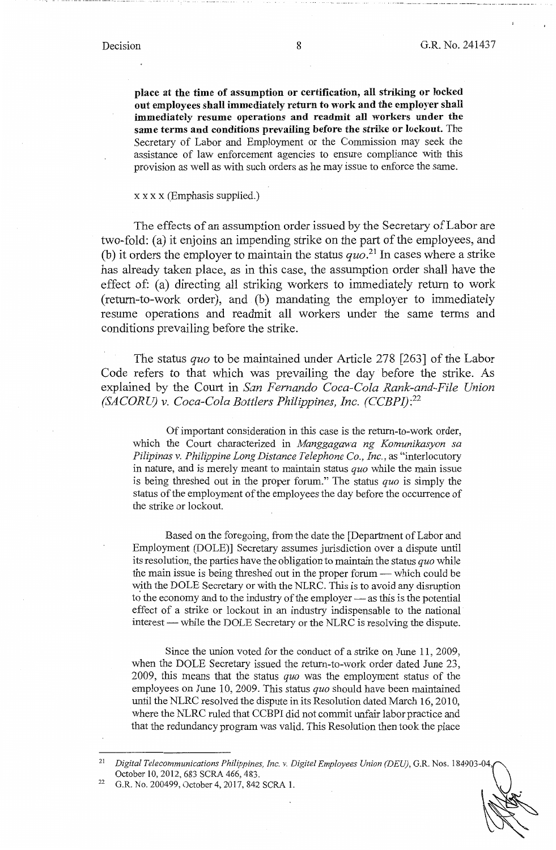**place at the time of assumption or certification, all striking or locked out employees shall immediately return to work and the employer shall immediately resume operations and readmit all workers under the same terms and conditions prevailing before the strike or lockout.** The Secretary of Labor and Employment or the Commission may seek the assistance of law enforcement agencies to ensure compliance with this provision as well as with such orders as he may issue to enforce the same.

## $x \times x \times$  (Emphasis supplied.)

The effects of an assumption order issued by the Secretary of Labor are two-fold: (a) it enjoins an impending strike on the part of the employees, and (b) it orders the employer to maintain the status  $quo.^{21}$  In cases where a strike has already taken place, as in this case, the assumption order shall have the effect of: (a) directing all striking workers to immediately return to work (return-to-work order), and (b) mandating the employer to immediately resume operations and readmit all workers under the same terms and conditions prevailing before the strike.

The status *quo* to be maintained under Article 278 [263] of the Labor Code refers to that which was prevailing the day before the strike. As explained by the Court in *San Fernando Coca-Cola Rank-and-File Union (SACORU) v. Coca-Cola Bottlers Philippines, Inc. (CCBPI): <sup>22</sup>*

Of important consideration in this case is the return-to-work order, which the Court characterized in *Manggagawa ng Komunikasyon sa Pilipinas v. Philippine Long Distance Telephone Co., Inc.,* as "interlocutory in nature, and is merely meant to maintain status *quo* while the main issue is being threshed out in the proper forum." The status *quo* is simply the status of the employment of the employees the day before the occurrence of the strike or lockout.

Based on the foregoing, from the date the [Department of Labor and Employment (DOLE)] Secretary assumes jurisdiction over a dispute until its resolution, the parties have the obligation to maintain the status *quo* while the main issue is being threshed out in the proper forum — which could be with the DOLE Secretary or with the NLRC. This is to avoid any disruption to the economy and to the industry of the employer — as this is the potential effect of a strike or lockout in an industry indispensable to the national interest — while the DOLE Secretary or the NLRC is resolving the dispute.

Since the union voted for the conduct of a strike on June 11, 2009, when the DOLE Secretary issued the return-to-work order dated June 23, 2009, this means that the status *quo* was the employment status of the employees on June 10, 2009. This status *quo* should have been maintained until the NLRC resolved the dispute in its Resolution dated March 16,2010, where the NLRC ruled that CCBPI did not commit unfair labor practice and that the redundancy program was valid. This Resolution then took the place

<sup>&</sup>lt;sup>21</sup> Digital Telecommunications Philippines, Inc. v. Digitel Employees Union (DEU), G.R. Nos. 184903-04 October 10, 2012, 683 SCRA 466,483. 22 G.R. No. 200499, October 4, 2017, 842 SCRA I.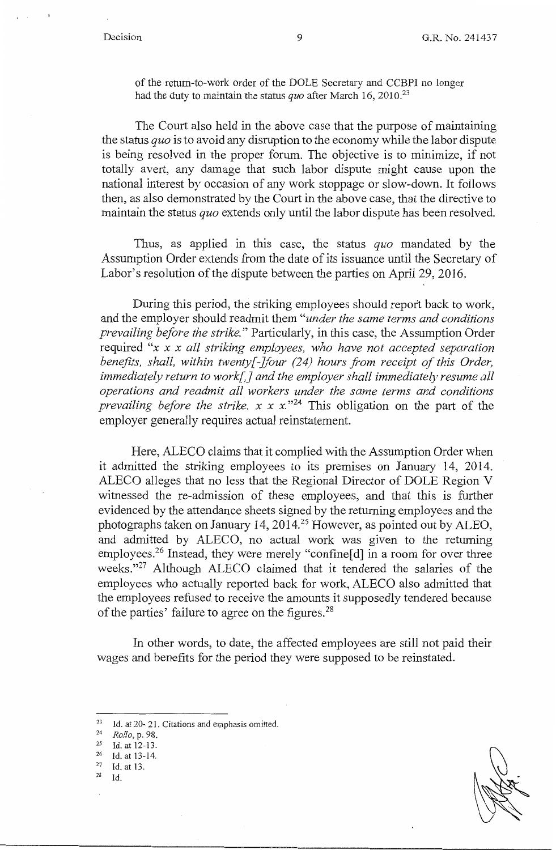of the return-to-work order of the DOLE Secretary and CCBPI no longer had the duty to maintain the status *quo* after March 16, 2010.23

The Court also held in the above case that the purpose of maintaining the status *quo* is to avoid any disruption to the economy while the labor dispute is being resolved in the proper forum. The objective is to minimize, if not totally avert, any damage that such labor dispute might cause upon the national interest by occasion of any work stoppage or slow-down. It follows then, as also demonstrated by the Court in the above case, that the directive to maintain the status *quo* extends only until the labor dispute has been resolved.

Thus, as applied in this case, the status *quo* mandated by the Assumption Order extends from the date of its issuance until the Secretary of Labor's resolution of the dispute between the parties on April 29, 2016.

During this period, the striking employees should report back to work, and the employer should readmit them *"under the same terms and conditions prevailing before the strike."* Particularly, in this case, the Assumption Order required *"x x x all striking employees, who have not accepted separation benefits, shall, within twenty[-]four (24) hours from receipt of this Order, immediately return to work[,] and the employer shall immediately resume all operations and readmit all workers under the same terms and conditions prevailing before the strike.*  $x \times x$ .<sup>24</sup> This obligation on the part of the employer generally requires actual reinstatement.

Here, ALECO claims that it complied with the Assumption Order when it admitted the striking employees to its premises on January 14, 2014. ALECO alleges that no less that the Regional Director of DOLE Region V witnessed the re-admission of these employees, and that this is further evidenced by the attendance sheets signed by the returning employees and the photographs taken on January 14, 2014.<sup>25</sup> However, as pointed out by ALEO, and admitted by ALECO, no actual work was given to the returning employees.<sup>26</sup> Instead, they were merely "confine[d] in a room for over three weeks."27 Although ALECO claimed that it tendered the salaries of the employees who actually reported back for work, ALECO also admitted that the employees refused to receive the amounts it supposedly tendered because of the parties' failure to agree on the figures. 28

In other words, to date, the affected employees are still not paid their wages and benefits for the period they were supposed to be reinstated.

- 
- $\frac{27}{28}$  Id. at 13.
- Id.

<sup>23</sup> Id. at 20- 21. Citations and emphasis omitted.<br>  $Rollo$ , p. 98.<br>
25 Id. at 12-13

 $^{25}$  Id. at 12-13.<br>  $^{26}$  Id. at 13-14.<br>  $^{27}$  Id at 13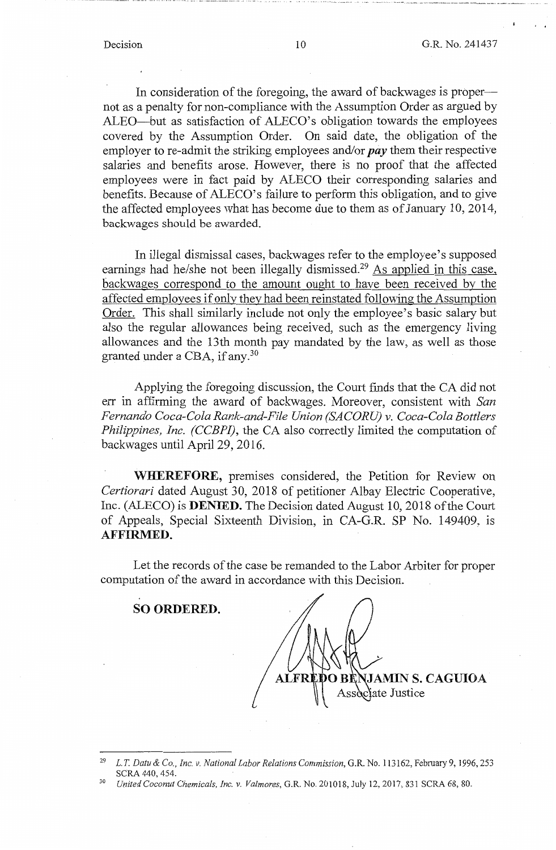In consideration of the foregoing, the award of backwages is propernot as a penalty for non-compliance with the Assumption Order as argued by ALEO-but as satisfaction of ALECO's obligation towards the employees covered by the Assumption Order. On said date, the obligation of the employer to re-admit the striking employees and/or *pay* them their respective salaries and benefits arose. However, there is no proof that the affected employees were in fact paid by ALECO their corresponding salaries and benefits. Because of ALECO's failure to perform this obligation, and to give the affected employees what has become due to them as of January 10, 2014, backwages should be awarded.

In illegal dismissal cases, backwages refer to the employee's supposed earnings had he/she not been illegally dismissed.<sup>29</sup> As applied in this case, backwages correspond to the amount ought to have been received by the affected employees if only they had been reinstated following the Assumption Order. This shall similarly include not only the employee's basic salary but also the regular allowances being received, such as the emergency living allowances and the 13th month pay mandated by the law, as well as those granted under a CBA, if any. 30

Applying the foregoing discussion, the Court finds that the CA did not err in affirming the award of backwages. Moreover, consistent with *San Fernando Coca-Cola Rank-and-File Union (SACO RU) v. Coca-Cola Bottlers Philippines, Inc. (CCBPI),* the CA also correctly limited the computation of backwages until April 29, 2016.

**WHEREFORE,** premises considered, the Petition for Review on *Certiorari* dated August 30, 2018 of petitioner Albay Electric Cooperative, Inc. (ALECO) is **DENIED.** The Decision dated August 10, 2018 of the Court of Appeals, Special Sixteenth Division, in CA-G.R. SP No. 149409, is **AFFIRMED.** 

Let the records of the case be remanded to the Labor Arbiter for proper computation of the award in accordance with this Decision.

**SO ORDERED.** 

**JAMIN S. CAGUIOA** ciate Justice

<sup>29</sup>L. *T. Datu &* Co., *Inc. v. National Labor Relations Commission,* G.R. No. 113162, February 9, 1996, 253 SCRA 440, 454. 30 *United Coconut Chemicals, Inc. v. Va/mores,* G.R. No. 201018, July 12, 2017, 831 SCRA 68, 80.